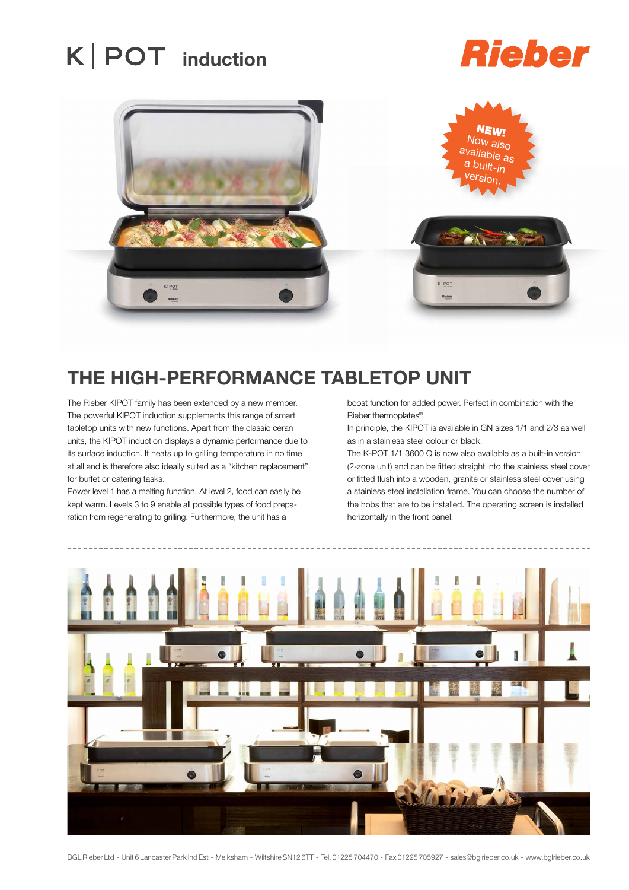## **K** | POT induction

## **Rieber**



### **the high-performance tabletop unit**

The Rieber K|POT family has been extended by a new member. The powerful K|POT induction supplements this range of smart tabletop units with new functions. Apart from the classic ceran units, the K|POT induction displays a dynamic performance due to its surface induction. It heats up to grilling temperature in no time at all and is therefore also ideally suited as a "kitchen replacement" for buffet or catering tasks.

Power level 1 has a melting function. At level 2, food can easily be kept warm. Levels 3 to 9 enable all possible types of food preparation from regenerating to grilling. Furthermore, the unit has a

boost function for added power. Perfect in combination with the Rieber thermoplates®.

In principle, the K|POT is available in GN sizes 1/1 and 2/3 as well as in a stainless steel colour or black.

The K-POT 1/1 3600 Q is now also available as a built-in version (2-zone unit) and can be fitted straight into the stainless steel cover or fitted flush into a wooden, granite or stainless steel cover using a stainless steel installation frame. You can choose the number of the hobs that are to be installed. The operating screen is installed horizontally in the front panel.



BGL Rieber Ltd - Unit 6 Lancaster Park Ind Est - Melksham - Wiltshire SN12 6TT - Tel. 01225 704470 - Fax 01225 705927 - sales@bglrieber.co.uk - www.bglrieber.co.uk